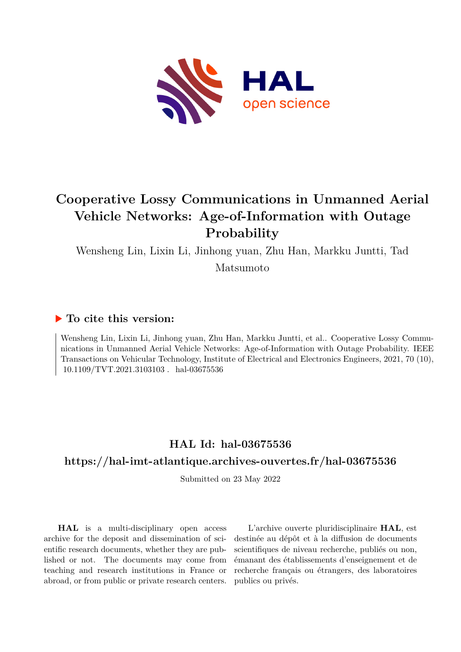

# **Cooperative Lossy Communications in Unmanned Aerial Vehicle Networks: Age-of-Information with Outage Probability**

Wensheng Lin, Lixin Li, Jinhong yuan, Zhu Han, Markku Juntti, Tad

Matsumoto

### **To cite this version:**

Wensheng Lin, Lixin Li, Jinhong yuan, Zhu Han, Markku Juntti, et al.. Cooperative Lossy Communications in Unmanned Aerial Vehicle Networks: Age-of-Information with Outage Probability. IEEE Transactions on Vehicular Technology, Institute of Electrical and Electronics Engineers, 2021, 70 (10),  $10.1109/TVT.2021.3103103$ . hal-03675536

## **HAL Id: hal-03675536**

### **<https://hal-imt-atlantique.archives-ouvertes.fr/hal-03675536>**

Submitted on 23 May 2022

**HAL** is a multi-disciplinary open access archive for the deposit and dissemination of scientific research documents, whether they are published or not. The documents may come from teaching and research institutions in France or abroad, or from public or private research centers.

L'archive ouverte pluridisciplinaire **HAL**, est destinée au dépôt et à la diffusion de documents scientifiques de niveau recherche, publiés ou non, émanant des établissements d'enseignement et de recherche français ou étrangers, des laboratoires publics ou privés.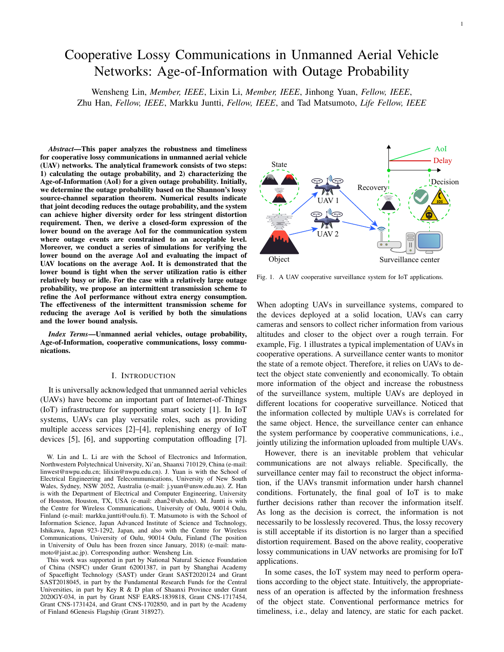## Cooperative Lossy Communications in Unmanned Aerial Vehicle Networks: Age-of-Information with Outage Probability

Wensheng Lin, *Member, IEEE*, Lixin Li, *Member, IEEE*, Jinhong Yuan, *Fellow, IEEE*, Zhu Han, *Fellow, IEEE*, Markku Juntti, *Fellow, IEEE*, and Tad Matsumoto, *Life Fellow, IEEE*

*Abstract*—This paper analyzes the robustness and timeliness for cooperative lossy communications in unmanned aerial vehicle (UAV) networks. The analytical framework consists of two steps: 1) calculating the outage probability, and 2) characterizing the Age-of-Information (AoI) for a given outage probability. Initially, we determine the outage probability based on the Shannon's lossy source-channel separation theorem. Numerical results indicate that joint decoding reduces the outage probability, and the system can achieve higher diversity order for less stringent distortion requirement. Then, we derive a closed-form expression of the lower bound on the average AoI for the communication system where outage events are constrained to an acceptable level. Moreover, we conduct a series of simulations for verifying the lower bound on the average AoI and evaluating the impact of UAV locations on the average AoI. It is demonstrated that the lower bound is tight when the server utilization ratio is either relatively busy or idle. For the case with a relatively large outage probability, we propose an intermittent transmission scheme to refine the AoI performance without extra energy consumption. The effectiveness of the intermittent transmission scheme for reducing the average AoI is verified by both the simulations and the lower bound analysis.

*Index Terms*—Unmanned aerial vehicles, outage probability, Age-of-Information, cooperative communications, lossy communications.

#### I. INTRODUCTION

It is universally acknowledged that unmanned aerial vehicles (UAVs) have become an important part of Internet-of-Things (IoT) infrastructure for supporting smart society [1]. In IoT systems, UAVs can play versatile roles, such as providing multiple access services [2]–[4], replenishing energy of IoT devices [5], [6], and supporting computation offloading [7].

This work was supported in part by National Natural Science Foundation of China (NSFC) under Grant 62001387, in part by Shanghai Academy of Spaceflight Technology (SAST) under Grant SAST2020124 and Grant SAST2018045, in part by the Fundamental Research Funds for the Central Universities, in part by Key R & D plan of Shaanxi Province under Grant 2020GY-034, in part by Grant NSF EARS-1839818, Grant CNS-1717454, Grant CNS-1731424, and Grant CNS-1702850, and in part by the Academy of Finland 6Genesis Flagship (Grant 318927).



Fig. 1. A UAV cooperative surveillance system for IoT applications.

When adopting UAVs in surveillance systems, compared to the devices deployed at a solid location, UAVs can carry cameras and sensors to collect richer information from various altitudes and closer to the object over a rough terrain. For example, Fig. 1 illustrates a typical implementation of UAVs in cooperative operations. A surveillance center wants to monitor the state of a remote object. Therefore, it relies on UAVs to detect the object state conveniently and economically. To obtain more information of the object and increase the robustness of the surveillance system, multiple UAVs are deployed in different locations for cooperative surveillance. Noticed that the information collected by multiple UAVs is correlated for the same object. Hence, the surveillance center can enhance the system performance by cooperative communications, i.e., jointly utilizing the information uploaded from multiple UAVs.

However, there is an inevitable problem that vehicular communications are not always reliable. Specifically, the surveillance center may fail to reconstruct the object information, if the UAVs transmit information under harsh channel conditions. Fortunately, the final goal of IoT is to make further decisions rather than recover the information itself. As long as the decision is correct, the information is not necessarily to be losslessly recovered. Thus, the lossy recovery is still acceptable if its distortion is no larger than a specified distortion requirement. Based on the above reality, cooperative lossy communications in UAV networks are promising for IoT applications.

In some cases, the IoT system may need to perform operations according to the object state. Intuitively, the appropriateness of an operation is affected by the information freshness of the object state. Conventional performance metrics for timeliness, i.e., delay and latency, are static for each packet.

W. Lin and L. Li are with the School of Electronics and Information, Northwestern Polytechnical University, Xi'an, Shaanxi 710129, China (e-mail: linwest@nwpu.edu.cn; lilixin@nwpu.edu.cn). J. Yuan is with the School of Electrical Engineering and Telecommunications, University of New South Wales, Sydney, NSW 2052, Australia (e-mail: j.yuan@unsw.edu.au). Z. Han is with the Department of Electrical and Computer Engineering, University of Houston, Houston, TX, USA (e-mail: zhan2@uh.edu). M. Juntti is with the Centre for Wireless Communications, University of Oulu, 90014 Oulu, Finland (e-mail: markku.juntti@oulu.fi). T. Matsumoto is with the School of Information Science, Japan Advanced Institute of Science and Technology, Ishikawa, Japan 923-1292, Japan, and also with the Centre for Wireless Communications, University of Oulu, 90014 Oulu, Finland (The position in University of Oulu has been frozen since January, 2018) (e-mail: matumoto@jaist.ac.jp). Corresponding author: Wensheng Lin.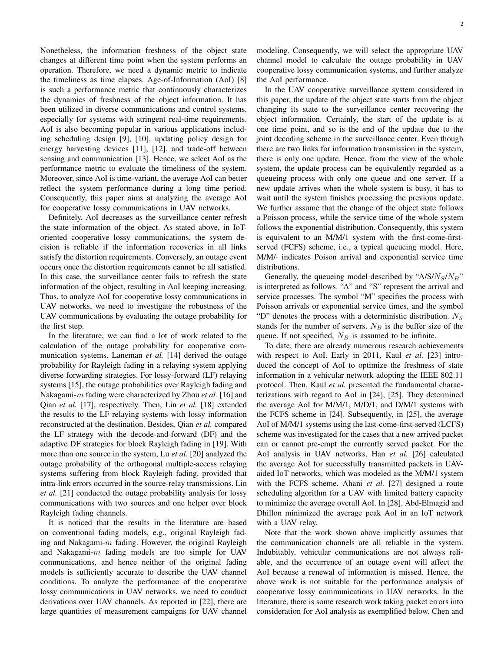Nonetheless, the information freshness of the object state changes at different time point when the system performs an operation. Therefore, we need a dynamic metric to indicate the timeliness as time elapses. Age-of-Information (AoI) [8] is such a performance metric that continuously characterizes the dynamics of freshness of the object information. It has been utilized in diverse communications and control systems, especially for systems with stringent real-time requirements. AoI is also becoming popular in various applications including scheduling design [9], [10], updating policy design for energy harvesting devices [11], [12], and trade-off between sensing and communication [13]. Hence, we select AoI as the performance metric to evaluate the timeliness of the system. Moreover, since AoI is time-variant, the average AoI can better reflect the system performance during a long time period. Consequently, this paper aims at analyzing the average AoI for cooperative lossy communications in UAV networks.

Definitely, AoI decreases as the surveillance center refresh the state information of the object. As stated above, in IoToriented cooperative lossy communications, the system decision is reliable if the information recoveries in all links satisfy the distortion requirements. Conversely, an outage event occurs once the distortion requirements cannot be all satisfied. In this case, the surveillance center fails to refresh the state information of the object, resulting in AoI keeping increasing. Thus, to analyze AoI for cooperative lossy communications in UAV networks, we need to investigate the robustness of the UAV communications by evaluating the outage probability for the first step.

In the literature, we can find a lot of work related to the calculation of the outage probability for cooperative communication systems. Laneman *et al.* [14] derived the outage probability for Rayleigh fading in a relaying system applying diverse forwarding strategies. For lossy-forward (LF) relaying systems [15], the outage probabilities over Rayleigh fading and Nakagami-m fading were characterized by Zhou *et al.* [16] and Qian *et al.* [17], respectively. Then, Lin *et al.* [18] extended the results to the LF relaying systems with lossy information reconstructed at the destination. Besides, Qian *et al.* compared the LF strategy with the decode-and-forward (DF) and the adaptive DF strategies for block Rayleigh fading in [19]. With more than one source in the system, Lu *et al.* [20] analyzed the outage probability of the orthogonal multiple-access relaying systems suffering from block Rayleigh fading, provided that intra-link errors occurred in the source-relay transmissions. Lin *et al.* [21] conducted the outage probability analysis for lossy communications with two sources and one helper over block Rayleigh fading channels.

It is noticed that the results in the literature are based on conventional fading models, e.g., original Rayleigh fading and Nakagami- $m$  fading. However, the original Rayleigh and Nakagami- $m$  fading models are too simple for UAV communications, and hence neither of the original fading models is sufficiently accurate to describe the UAV channel conditions. To analyze the performance of the cooperative lossy communications in UAV networks, we need to conduct derivations over UAV channels. As reported in [22], there are large quantities of measurement campaigns for UAV channel modeling. Consequently, we will select the appropriate UAV channel model to calculate the outage probability in UAV cooperative lossy communication systems, and further analyze the AoI performance.

In the UAV cooperative surveillance system considered in this paper, the update of the object state starts from the object changing its state to the surveillance center recovering the object information. Certainly, the start of the update is at one time point, and so is the end of the update due to the joint decoding scheme in the surveillance center. Even though there are two links for information transmission in the system, there is only one update. Hence, from the view of the whole system, the update process can be equivalently regarded as a queueing process with only one queue and one server. If a new update arrives when the whole system is busy, it has to wait until the system finishes processing the previous update. We further assume that the change of the object state follows a Poisson process, while the service time of the whole system follows the exponential distribution. Consequently, this system is equivalent to an M/M/1 system with the first-come-firstserved (FCFS) scheme, i.e., a typical queueing model. Here, M/M/· indicates Poison arrival and exponential service time distributions.

Generally, the queueing model described by " $A/S/N_S/N_B$ " is interpreted as follows. "A" and "S" represent the arrival and service processes. The symbol "M" specifies the process with Poisson arrivals or exponential service times, and the symbol "D" denotes the process with a deterministic distribution.  $N<sub>S</sub>$ stands for the number of servers.  $N_B$  is the buffer size of the queue. If not specified,  $N_B$  is assumed to be infinite.

To date, there are already numerous research achievements with respect to AoI. Early in 2011, Kaul *et al.* [23] introduced the concept of AoI to optimize the freshness of state information in a vehicular network adopting the IEEE 802.11 protocol. Then, Kaul *et al.* presented the fundamental characterizations with regard to AoI in [24], [25]. They determined the average AoI for M/M/1, M/D/1, and D/M/1 systems with the FCFS scheme in [24]. Subsequently, in [25], the average AoI of M/M/1 systems using the last-come-first-served (LCFS) scheme was investigated for the cases that a new arrived packet can or cannot pre-empt the currently served packet. For the AoI analysis in UAV networks, Han *et al.* [26] calculated the average AoI for successfully transmitted packets in UAVaided IoT networks, which was modeled as the M/M/1 system with the FCFS scheme. Ahani *et al.* [27] designed a route scheduling algorithm for a UAV with limited battery capacity to minimize the average overall AoI. In [28], Abd-Elmagid and Dhillon minimized the average peak AoI in an IoT network with a UAV relay.

Note that the work shown above implicitly assumes that the communication channels are all reliable in the system. Indubitably, vehicular communications are not always reliable, and the occurrence of an outage event will affect the AoI because a renewal of information is missed. Hence, the above work is not suitable for the performance analysis of cooperative lossy communications in UAV networks. In the literature, there is some research work taking packet errors into consideration for AoI analysis as exemplified below. Chen and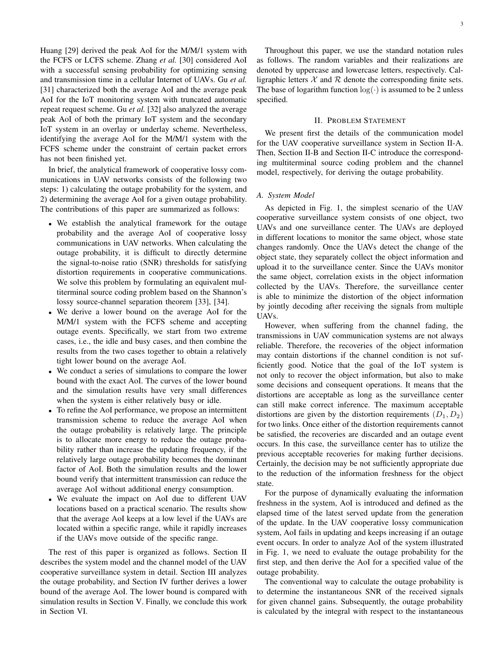Huang [29] derived the peak AoI for the M/M/1 system with the FCFS or LCFS scheme. Zhang *et al.* [30] considered AoI with a successful sensing probability for optimizing sensing and transmission time in a cellular Internet of UAVs. Gu *et al.* [31] characterized both the average AoI and the average peak AoI for the IoT monitoring system with truncated automatic repeat request scheme. Gu *et al.* [32] also analyzed the average peak AoI of both the primary IoT system and the secondary IoT system in an overlay or underlay scheme. Nevertheless, identifying the average AoI for the M/M/1 system with the FCFS scheme under the constraint of certain packet errors has not been finished yet.

In brief, the analytical framework of cooperative lossy communications in UAV networks consists of the following two steps: 1) calculating the outage probability for the system, and 2) determining the average AoI for a given outage probability. The contributions of this paper are summarized as follows:

- We establish the analytical framework for the outage probability and the average AoI of cooperative lossy communications in UAV networks. When calculating the outage probability, it is difficult to directly determine the signal-to-noise ratio (SNR) thresholds for satisfying distortion requirements in cooperative communications. We solve this problem by formulating an equivalent multiterminal source coding problem based on the Shannon's lossy source-channel separation theorem [33], [34].
- We derive a lower bound on the average AoI for the M/M/1 system with the FCFS scheme and accepting outage events. Specifically, we start from two extreme cases, i.e., the idle and busy cases, and then combine the results from the two cases together to obtain a relatively tight lower bound on the average AoI.
- We conduct a series of simulations to compare the lower bound with the exact AoI. The curves of the lower bound and the simulation results have very small differences when the system is either relatively busy or idle.
- To refine the AoI performance, we propose an intermittent transmission scheme to reduce the average AoI when the outage probability is relatively large. The principle is to allocate more energy to reduce the outage probability rather than increase the updating frequency, if the relatively large outage probability becomes the dominant factor of AoI. Both the simulation results and the lower bound verify that intermittent transmission can reduce the average AoI without additional energy consumption.
- We evaluate the impact on AoI due to different UAV locations based on a practical scenario. The results show that the average AoI keeps at a low level if the UAVs are located within a specific range, while it rapidly increases if the UAVs move outside of the specific range.

The rest of this paper is organized as follows. Section II describes the system model and the channel model of the UAV cooperative surveillance system in detail. Section III analyzes the outage probability, and Section IV further derives a lower bound of the average AoI. The lower bound is compared with simulation results in Section V. Finally, we conclude this work in Section VI.

Throughout this paper, we use the standard notation rules as follows. The random variables and their realizations are denoted by uppercase and lowercase letters, respectively. Calligraphic letters  $X$  and  $R$  denote the corresponding finite sets. The base of logarithm function  $log(·)$  is assumed to be 2 unless specified.

#### II. PROBLEM STATEMENT

We present first the details of the communication model for the UAV cooperative surveillance system in Section II-A. Then, Section II-B and Section II-C introduce the corresponding multiterminal source coding problem and the channel model, respectively, for deriving the outage probability.

#### *A. System Model*

As depicted in Fig. 1, the simplest scenario of the UAV cooperative surveillance system consists of one object, two UAVs and one surveillance center. The UAVs are deployed in different locations to monitor the same object, whose state changes randomly. Once the UAVs detect the change of the object state, they separately collect the object information and upload it to the surveillance center. Since the UAVs monitor the same object, correlation exists in the object information collected by the UAVs. Therefore, the surveillance center is able to minimize the distortion of the object information by jointly decoding after receiving the signals from multiple UAVs.

However, when suffering from the channel fading, the transmissions in UAV communication systems are not always reliable. Therefore, the recoveries of the object information may contain distortions if the channel condition is not sufficiently good. Notice that the goal of the IoT system is not only to recover the object information, but also to make some decisions and consequent operations. It means that the distortions are acceptable as long as the surveillance center can still make correct inference. The maximum acceptable distortions are given by the distortion requirements  $(D_1, D_2)$ for two links. Once either of the distortion requirements cannot be satisfied, the recoveries are discarded and an outage event occurs. In this case, the surveillance center has to utilize the previous acceptable recoveries for making further decisions. Certainly, the decision may be not sufficiently appropriate due to the reduction of the information freshness for the object state.

For the purpose of dynamically evaluating the information freshness in the system, AoI is introduced and defined as the elapsed time of the latest served update from the generation of the update. In the UAV cooperative lossy communication system, AoI fails in updating and keeps increasing if an outage event occurs. In order to analyze AoI of the system illustrated in Fig. 1, we need to evaluate the outage probability for the first step, and then derive the AoI for a specified value of the outage probability.

The conventional way to calculate the outage probability is to determine the instantaneous SNR of the received signals for given channel gains. Subsequently, the outage probability is calculated by the integral with respect to the instantaneous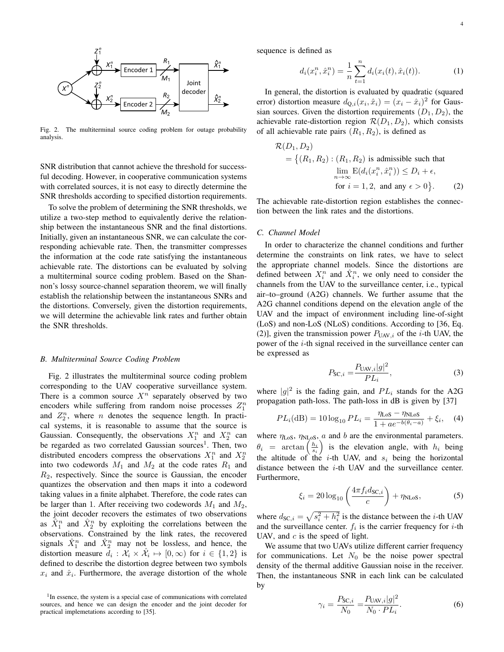

Fig. 2. The multiterminal source coding problem for outage probability analysis.

SNR distribution that cannot achieve the threshold for successful decoding. However, in cooperative communication systems with correlated sources, it is not easy to directly determine the SNR thresholds according to specified distortion requirements.

To solve the problem of determining the SNR thresholds, we utilize a two-step method to equivalently derive the relationship between the instantaneous SNR and the final distortions. Initially, given an instantaneous SNR, we can calculate the corresponding achievable rate. Then, the transmitter compresses the information at the code rate satisfying the instantaneous achievable rate. The distortions can be evaluated by solving a multiterminal source coding problem. Based on the Shannon's lossy source-channel separation theorem, we will finally establish the relationship between the instantaneous SNRs and the distortions. Conversely, given the distortion requirements, we will determine the achievable link rates and further obtain the SNR thresholds.

#### *B. Multiterminal Source Coding Problem*

Fig. 2 illustrates the multiterminal source coding problem corresponding to the UAV cooperative surveillance system. There is a common source  $X^n$  separately observed by two encoders while suffering from random noise processes  $Z_1^n$ and  $Z_2^n$ , where *n* denotes the sequence length. In practical systems, it is reasonable to assume that the source is Gaussian. Consequently, the observations  $X_1^n$  and  $X_2^n$  can be regarded as two correlated Gaussian sources<sup>1</sup>. Then, two distributed encoders compress the observations  $X_1^n$  and  $X_2^n$ into two codewords  $M_1$  and  $M_2$  at the code rates  $R_1$  and  $R_2$ , respectively. Since the source is Gaussian, the encoder quantizes the observation and then maps it into a codeword taking values in a finite alphabet. Therefore, the code rates can be larger than 1. After receiving two codewords  $M_1$  and  $M_2$ , the joint decoder recovers the estimates of two observations as  $\hat{X}_1^n$  and  $\hat{X}_2^n$  by exploiting the correlations between the observations. Constrained by the link rates, the recovered signals  $\hat{X}_1^n$  and  $\hat{X}_2^n$  may not be lossless, and hence, the distortion measure  $\hat{d}_i : \hat{\mathcal{X}}_i \times \hat{\mathcal{X}}_i \mapsto [0, \infty)$  for  $i \in \{1, 2\}$  is defined to describe the distortion degree between two symbols  $x_i$  and  $\hat{x}_i$ . Furthermore, the average distortion of the whole sequence is defined as

$$
d_i(x_i^n, \hat{x}_i^n) = \frac{1}{n} \sum_{t=1}^n d_i(x_i(t), \hat{x}_i(t)).
$$
 (1)

In general, the distortion is evaluated by quadratic (squared error) distortion measure  $d_{Q,i}(x_i, \hat{x}_i) = (x_i - \hat{x}_i)^2$  for Gaussian sources. Given the distortion requirements  $(D_1, D_2)$ , the achievable rate-distortion region  $\mathcal{R}(D_1, D_2)$ , which consists of all achievable rate pairs  $(R_1, R_2)$ , is defined as

$$
\mathcal{R}(D_1, D_2)
$$
  
= { $(R_1, R_2) : (R_1, R_2)$  is admissible such that  

$$
\lim_{n \to \infty} \mathcal{E}(d_i(x_i^n, \hat{x}_i^n)) \le D_i + \epsilon,
$$
  
for  $i = 1, 2$ , and any  $\epsilon > 0$ }. (2)

The achievable rate-distortion region establishes the connection between the link rates and the distortions.

#### *C. Channel Model*

In order to characterize the channel conditions and further determine the constraints on link rates, we have to select the appropriate channel models. Since the distortions are defined between  $X_i^n$  and  $\hat{X}_i^n$ , we only need to consider the channels from the UAV to the surveillance center, i.e., typical air–to–ground (A2G) channels. We further assume that the A2G channel conditions depend on the elevation angle of the UAV and the impact of environment including line-of-sight (LoS) and non-LoS (NLoS) conditions. According to [36, Eq. (2)], given the transmission power  $P_{UAV,i}$  of the *i*-th UAV, the power of the *i*-th signal received in the surveillance center can be expressed as

$$
P_{SC,i} = \frac{P_{UAV,i}|g|^2}{PL_i},
$$
\n(3)

where  $|g|^2$  is the fading gain, and  $PL_i$  stands for the A2G propagation path-loss. The path-loss in dB is given by [37]

$$
PL_i(\text{dB}) = 10 \log_{10} PL_i = \frac{\eta_{\text{LoS}} - \eta_{\text{NLoS}}}{1 + ae^{-b(\theta_i - a)}} + \xi_i, \quad (4)
$$

where  $\eta_{\text{LoS}}, \eta_{\text{NLoS}}, a$  and b are the environmental parameters.  $\theta_i$  = arctan  $\left(\frac{h_i}{s_i}\right)$  is the elevation angle, with  $h_i$  being the altitude of the *i*-th UAV, and  $s_i$  being the horizontal distance between the  $i$ -th UAV and the surveillance center. Furthermore,

$$
\xi_i = 20 \log_{10} \left( \frac{4 \pi f_i d_{\text{SC},i}}{c} \right) + \eta_{\text{NLoS}},\tag{5}
$$

where  $d_{SC,i} = \sqrt{s_i^2 + h_i^2}$  is the distance between the *i*-th UAV and the surveillance center.  $f_i$  is the carrier frequency for *i*-th UAV, and  $c$  is the speed of light.

We assume that two UAVs utilize different carrier frequency for communications. Let  $N_0$  be the noise power spectral density of the thermal additive Gaussian noise in the receiver. Then, the instantaneous SNR in each link can be calculated by

$$
\gamma_i = \frac{P_{\text{SC},i}}{N_0} = \frac{P_{\text{UAV},i}|g|^2}{N_0 \cdot PL_i}.
$$
 (6)

<sup>&</sup>lt;sup>1</sup>In essence, the system is a special case of communications with correlated sources, and hence we can design the encoder and the joint decoder for practical implemetations according to [35].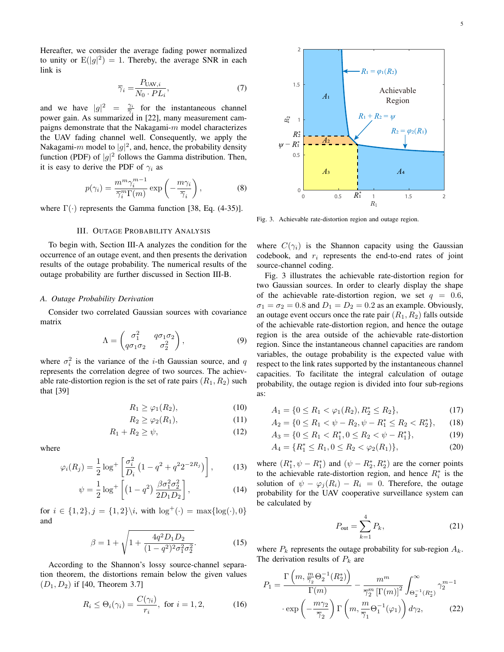Hereafter, we consider the average fading power normalized to unity or  $E(|g|^2) = 1$ . Thereby, the average SNR in each link is

$$
\overline{\gamma}_i = \frac{P_{\text{UAV},i}}{N_0 \cdot PL_i},\tag{7}
$$

and we have  $|g|^2 = \frac{\gamma_i}{\overline{\gamma}_i}$  for the instantaneous channel power gain. As summarized in [22], many measurement campaigns demonstrate that the Nakagami- $m$  model characterizes the UAV fading channel well. Consequently, we apply the Nakagami- $m$  model to  $|g|^2$ , and, hence, the probability density function (PDF) of  $|g|^2$  follows the Gamma distribution. Then, it is easy to derive the PDF of  $\gamma_i$  as

$$
p(\gamma_i) = \frac{m^m \gamma_i^{m-1}}{\overline{\gamma}_i^m \Gamma(m)} \exp\left(-\frac{m\gamma_i}{\overline{\gamma}_i}\right),\tag{8}
$$

where  $\Gamma(\cdot)$  represents the Gamma function [38, Eq. (4-35)].

#### III. OUTAGE PROBABILITY ANALYSIS

To begin with, Section III-A analyzes the condition for the occurrence of an outage event, and then presents the derivation results of the outage probability. The numerical results of the outage probability are further discussed in Section III-B.

#### *A. Outage Probability Derivation*

Consider two correlated Gaussian sources with covariance matrix

$$
\Lambda = \begin{pmatrix} \sigma_1^2 & q\sigma_1\sigma_2 \\ q\sigma_1\sigma_2 & \sigma_2^2 \end{pmatrix},
$$
 (9)

where  $\sigma_i^2$  is the variance of the *i*-th Gaussian source, and q represents the correlation degree of two sources. The achievable rate-distortion region is the set of rate pairs  $(R_1, R_2)$  such that [39]

$$
R_1 \ge \varphi_1(R_2),\tag{10}
$$

$$
R_2 \ge \varphi_2(R_1),\tag{11}
$$

$$
R_1 + R_2 \ge \psi,\tag{12}
$$

where

$$
\varphi_i(R_j) = \frac{1}{2} \log^+ \left[ \frac{\sigma_i^2}{D_i} \left( 1 - q^2 + q^2 2^{-2R_j} \right) \right],\tag{13}
$$

$$
\psi = \frac{1}{2} \log^+ \left[ \left( 1 - q^2 \right) \frac{\beta \sigma_1^2 \sigma_2^2}{2D_1 D_2} \right],\tag{14}
$$

for  $i \in \{1,2\}, j = \{1,2\} \backslash i$ , with  $\log^+(\cdot) = \max\{\log(\cdot), 0\}$ and

$$
\beta = 1 + \sqrt{1 + \frac{4q^2 D_1 D_2}{(1 - q^2)^2 \sigma_1^2 \sigma_2^2}}.
$$
 (15)

According to the Shannon's lossy source-channel separation theorem, the distortions remain below the given values  $(D_1, D_2)$  if [40, Theorem 3.7]

$$
R_i \leq \Theta_i(\gamma_i) = \frac{C(\gamma_i)}{r_i}, \text{ for } i = 1, 2,
$$
 (16)



Fig. 3. Achievable rate-distortion region and outage region.

where  $C(\gamma_i)$  is the Shannon capacity using the Gaussian codebook, and  $r_i$  represents the end-to-end rates of joint source-channel coding.

Fig. 3 illustrates the achievable rate-distortion region for two Gaussian sources. In order to clearly display the shape of the achievable rate-distortion region, we set  $q = 0.6$ ,  $\sigma_1 = \sigma_2 = 0.8$  and  $D_1 = D_2 = 0.2$  as an example. Obviously, an outage event occurs once the rate pair  $(R_1, R_2)$  falls outside of the achievable rate-distortion region, and hence the outage region is the area outside of the achievable rate-distortion region. Since the instantaneous channel capacities are random variables, the outage probability is the expected value with respect to the link rates supported by the instantaneous channel capacities. To facilitate the integral calculation of outage probability, the outage region is divided into four sub-regions as:

$$
A_1 = \{0 \le R_1 < \varphi_1(R_2), R_2^* \le R_2\},\tag{17}
$$

$$
A_2 = \{0 \le R_1 < \psi - R_2, \psi - R_1^* \le R_2 < R_2^*\},\qquad(18)
$$

$$
A_3 = \{0 \le R_1 < R_1^*, 0 \le R_2 < \psi - R_1^*\},\tag{19}
$$

$$
A_4 = \{R_1^* \le R_1, 0 \le R_2 < \varphi_2(R_1)\},\tag{20}
$$

where  $(R_1^*, \psi - R_1^*)$  and  $(\psi - R_2^*, R_2^*)$  are the corner points to the achievable rate-distortion region, and hence  $R_i^*$  is the solution of  $\psi - \varphi_i(R_i) - R_i = 0$ . Therefore, the outage probability for the UAV cooperative surveillance system can be calculated by

$$
P_{\text{out}} = \sum_{k=1}^{4} P_k,
$$
 (21)

where  $P_k$  represents the outage probability for sub-region  $A_k$ . The derivation results of  $P_k$  are

$$
P_1 = \frac{\Gamma\left(m, \frac{m}{\overline{\gamma}_2} \Theta_2^{-1}(R_2^*)\right)}{\Gamma(m)} - \frac{m^m}{\overline{\gamma}_2^m \left[\Gamma(m)\right]^2} \int_{\Theta_2^{-1}(R_2^*)}^{\infty} \gamma_2^{m-1}
$$

$$
\cdot \exp\left(-\frac{m\gamma_2}{\overline{\gamma}_2}\right) \Gamma\left(m, \frac{m}{\overline{\gamma}_1} \Theta_1^{-1}(\varphi_1)\right) d\gamma_2, \tag{22}
$$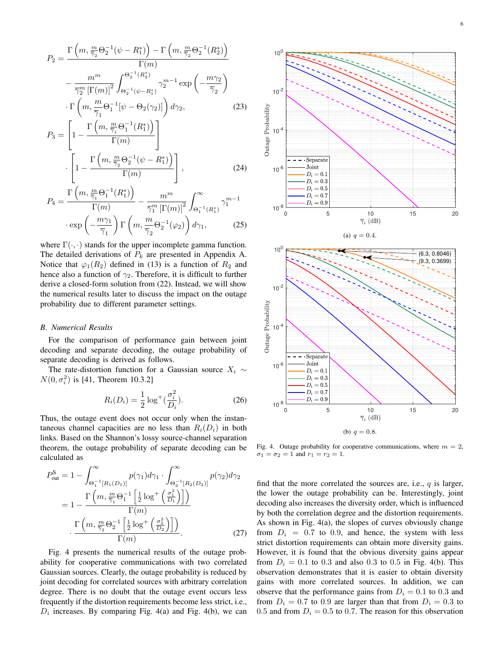$$
P_2 = \frac{\Gamma\left(m, \frac{m}{\overline{\gamma}_2} \Theta_2^{-1}(\psi - R_1^*)\right) - \Gamma\left(m, \frac{m}{\overline{\gamma}_2} \Theta_2^{-1}(R_2^*)\right)}{\Gamma(m)}
$$

$$
- \frac{m^m}{\overline{\gamma}_2^m \left[\Gamma(m)\right]^2} \int_{\Theta_2^{-1}(\psi - R_1^*)}^{\Theta_2^{-1}(R_2^*)} \gamma_2^{m-1} \exp\left(-\frac{m\gamma_2}{\overline{\gamma}_2}\right)
$$

$$
\cdot \Gamma\left(m, \frac{m}{\overline{\gamma}_1} \Theta_1^{-1}[\psi - \Theta_2(\gamma_2)]\right) d\gamma_2,
$$
(23)
$$
P_3 = \left[1 - \frac{\Gamma\left(m, \frac{m}{\overline{\gamma}_1} \Theta_1^{-1}(R_1^*)\right)}{\Gamma(m, \frac{m}{\overline{\gamma}_1} \Theta_1^{-1}(R_1^*)}\right]
$$

$$
P_3 = \left[1 - \frac{\Gamma(m)}{\Gamma(m)}\right] \cdot \left[1 - \frac{\Gamma\left(m, \frac{m}{\overline{\gamma}_2} \Theta_2^{-1}(\psi - R_1^*)\right)}{\Gamma(m)}\right],
$$
(24)

$$
P_4 = \frac{\Gamma\left(m, \frac{m}{\overline{\gamma}_1} \Theta_1^{-1}(R_1^*)\right)}{\Gamma(m)} - \frac{m^m}{\overline{\gamma}_1^m \left[\Gamma(m)\right]^2} \int_{\Theta_1^{-1}(R_1^*)}^{\infty} \gamma_1^{m-1}
$$

$$
\cdot \exp\left(-\frac{m\gamma_1}{\overline{\gamma}_1}\right) \Gamma\left(m, \frac{m}{\overline{\gamma}_2} \Theta_2^{-1}(\varphi_2)\right) d\gamma_1, \tag{25}
$$

where  $\Gamma(\cdot, \cdot)$  stands for the upper incomplete gamma function. The detailed derivations of  $P_k$  are presented in Appendix A. Notice that  $\varphi_1(R_2)$  defined in (13) is a function of  $R_2$  and hence also a function of  $\gamma_2$ . Therefore, it is difficult to further derive a closed-form solution from (22). Instead, we will show the numerical results later to discuss the impact on the outage probability due to different parameter settings.

#### *B. Numerical Results*

For the comparison of performance gain between joint decoding and separate decoding, the outage probability of separate decoding is derived as follows.

The rate-distortion function for a Gaussian source  $X_i \sim$  $N(0, \sigma_i^2)$  is [41, Theorem 10.3.2]

$$
R_i(D_i) = \frac{1}{2} \log^+(\frac{\sigma_i^2}{D_i}).
$$
\n(26)

Thus, the outage event does not occur only when the instantaneous channel capacities are no less than  $R_i(D_i)$  in both links. Based on the Shannon's lossy source-channel separation theorem, the outage probability of separate decoding can be calculated as

$$
P_{\text{out}}^{\text{S}} = 1 - \int_{\Theta_1^{-1}[R_1(D_1)]}^{\infty} p(\gamma_1) d\gamma_1 \cdot \int_{\Theta_2^{-1}[R_2(D_2)]}^{\infty} p(\gamma_2) d\gamma_2
$$
  
= 
$$
1 - \frac{\Gamma\left(m, \frac{m}{\gamma_1} \Theta_1^{-1} \left[\frac{1}{2} \log^+\left(\frac{\sigma_1^2}{D_1}\right)\right]\right)}{\Gamma(m)}
$$
  

$$
\frac{\Gamma\left(m, \frac{m}{\gamma_2} \Theta_2^{-1} \left[\frac{1}{2} \log^+\left(\frac{\sigma_2^2}{D_2}\right)\right]\right)}{\Gamma(m)}.
$$
 (27)

Fig. 4 presents the numerical results of the outage probability for cooperative communications with two correlated Gaussian sources. Clearly, the outage probability is reduced by joint decoding for correlated sources with arbitrary correlation degree. There is no doubt that the outage event occurs less frequently if the distortion requirements become less strict, i.e.,  $D_i$  increases. By comparing Fig. 4(a) and Fig. 4(b), we can





Fig. 4. Outage probability for cooperative communications, where  $m = 2$ ,  $\sigma_1 = \sigma_2 = 1$  and  $r_1 = r_2 = 1$ .

find that the more correlated the sources are, i.e.,  $q$  is larger, the lower the outage probability can be. Interestingly, joint decoding also increases the diversity order, which is influenced by both the correlation degree and the distortion requirements. As shown in Fig. 4(a), the slopes of curves obviously change from  $D_i = 0.7$  to 0.9, and hence, the system with less strict distortion requirements can obtain more diversity gains. However, it is found that the obvious diversity gains appear from  $D_i = 0.1$  to 0.3 and also 0.3 to 0.5 in Fig. 4(b). This observation demonstrates that it is easier to obtain diversity gains with more correlated sources. In addition, we can observe that the performance gains from  $D_i = 0.1$  to 0.3 and from  $D_i = 0.7$  to 0.9 are larger than that from  $D_i = 0.3$  to 0.5 and from  $D_i = 0.5$  to 0.7. The reason for this observation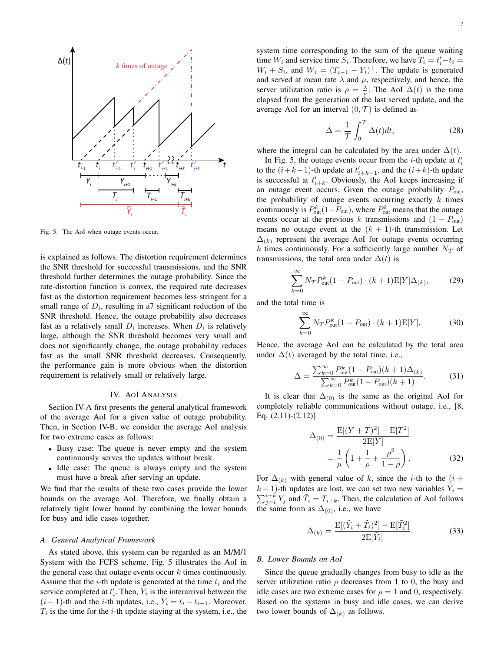

Fig. 5. The AoI when outage events occur.

is explained as follows. The distortion requirement determines the SNR threshold for successful transmissions, and the SNR threshold further determines the outage probability. Since the rate-distortion function is convex, the required rate decreases fast as the distortion requirement becomes less stringent for a small range of  $D_i$ , resulting in a7 significant reduction of the SNR threshold. Hence, the outage probability also decreases fast as a relatively small  $D_i$  increases. When  $D_i$  is relatively large, although the SNR threshold becomes very small and does not significantly change, the outage probability reduces fast as the small SNR threshold decreases. Consequently, the performance gain is more obvious when the distortion requirement is relatively small or relatively large.

#### IV. AOI ANALYSIS

Section IV-A first presents the general analytical framework of the average AoI for a given value of outage probability. Then, in Section IV-B, we consider the average AoI analysis for two extreme cases as follows:

- Busy case: The queue is never empty and the system continuously serves the updates without break.
- Idle case: The queue is always empty and the system must have a break after serving an update.

We find that the results of these two cases provide the lower bounds on the average AoI. Therefore, we finally obtain a relatively tight lower bound by combining the lower bounds for busy and idle cases together.

#### *A. General Analytical Framework*

As stated above, this system can be regarded as an M/M/1 System with the FCFS scheme. Fig. 5 illustrates the AoI in the general case that outage events occur  $k$  times continuously. Assume that the *i*-th update is generated at the time  $t_i$  and the service completed at  $t_i'$ . Then,  $Y_i$  is the interarrival between the  $(i - 1)$ -th and the *i*-th updates, i.e.,  $Y_i = t_i - t_{i-1}$ . Moreover,  $T_i$  is the time for the *i*-th update staying at the system, i.e., the system time corresponding to the sum of the queue waiting time  $W_i$  and service time  $S_i$ . Therefore, we have  $T_i = t'_i - t_i =$  $W_i + S_i$ , and  $W_i = (T_{i-1} - Y_i)^+$ . The update is generated and served at mean rate  $\lambda$  and  $\mu$ , respectively, and hence, the server utilization ratio is  $\rho = \frac{\lambda}{\mu}$ . The AoI  $\Delta(t)$  is the time elapsed from the generation of the last served update, and the average AoI for an interval  $(0, \mathcal{T})$  is defined as

$$
\Delta = \frac{1}{\mathcal{T}} \int_0^{\mathcal{T}} \Delta(t) dt,
$$
\n(28)

where the integral can be calculated by the area under  $\Delta(t)$ .

In Fig. 5, the outage events occur from the *i*-th update at  $t_i'$ to the  $(i+k-1)$ -th update at  $t'_{i+k-1}$ , and the  $(i+k)$ -th update is successful at  $t'_{i+k}$ . Obviously, the AoI keeps increasing if an outage event occurs. Given the outage probability  $P_{\text{out}}$ , the probability of outage events occurring exactly  $k$  times continuously is  $P_{out}^k(1-P_{out})$ , where  $P_{out}^k$  means that the outage events occur at the previous k transmissions and  $(1 - P_{out})$ means no outage event at the  $(k + 1)$ -th transmission. Let  $\Delta_{(k)}$  represent the average AoI for outage events occurring k times continuously. For a sufficiently large number  $N_T$  of transmissions, the total area under  $\Delta(t)$  is

$$
\sum_{k=0}^{\infty} N_T P_{\text{out}}^k (1 - P_{\text{out}}) \cdot (k+1) \mathcal{E}[Y] \Delta_{(k)},\tag{29}
$$

and the total time is

$$
\sum_{k=0}^{\infty} N_T P_{\text{out}}^k (1 - P_{\text{out}}) \cdot (k+1) \mathbf{E}[Y]. \tag{30}
$$

Hence, the average AoI can be calculated by the total area under  $\Delta(t)$  averaged by the total time, i.e.,

$$
\Delta = \frac{\sum_{k=0}^{\infty} P_{\text{out}}^{k} (1 - P_{\text{out}})(k+1) \Delta_{(k)}}{\sum_{k=0}^{\infty} P_{\text{out}}^{k} (1 - P_{\text{out}})(k+1)}.
$$
(31)

It is clear that  $\Delta_{(0)}$  is the same as the original AoI for completely reliable communications without outage, i.e., [8, Eq. (2.11)-(2.12)]

$$
\Delta_{(0)} = \frac{E[(Y+T)^2] - E[T^2]}{2E[Y]} \n= \frac{1}{\mu} \left( 1 + \frac{1}{\rho} + \frac{\rho^2}{1-\rho} \right).
$$
\n(32)

For  $\Delta_{(k)}$  with general value of k, since the *i*-th to the  $(i +$  $(k-1)$ -th updates are lost, we can set two new variables  $\tilde{Y}_i =$  $\sum_{j=i}^{i+k} Y_j$  and  $\tilde{T}_i = T_{i+k}$ . Then, the calculation of AoI follows the same form as  $\Delta_{(0)}$ , i.e., we have

$$
\Delta_{(k)} = \frac{\mathcal{E}[(\tilde{Y}_i + \tilde{T}_i)^2] - \mathcal{E}[\tilde{T}_i^2]}{2\mathcal{E}[\tilde{Y}_i]}.
$$
\n(33)

#### *B. Lower Bounds on AoI*

Since the queue gradually changes from busy to idle as the server utilization ratio  $\rho$  decreases from 1 to 0, the busy and idle cases are two extreme cases for  $\rho = 1$  and 0, respectively. Based on the systems in busy and idle cases, we can derive two lower bounds of  $\Delta_{(k)}$  as follows.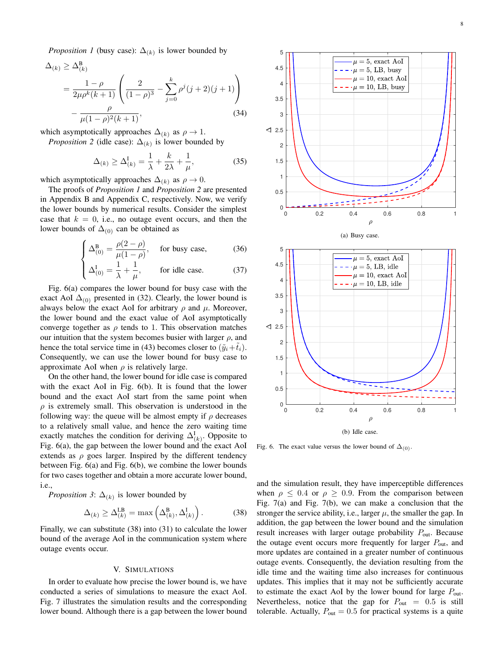*Proposition 1* (busy case):  $\Delta_{(k)}$  is lower bounded by

$$
\Delta_{(k)} \ge \Delta_{(k)}^{\mathcal{B}}
$$
  
=  $\frac{1-\rho}{2\mu\rho^k(k+1)} \left( \frac{2}{(1-\rho)^3} - \sum_{j=0}^k \rho^j (j+2)(j+1) \right)$   
 $-\frac{\rho}{\mu(1-\rho)^2(k+1)},$  (34)

which asymptotically approaches  $\Delta_{(k)}$  as  $\rho \to 1$ .

*Proposition 2* (idle case):  $\Delta_{(k)}$  is lower bounded by

$$
\Delta_{(k)} \ge \Delta^{\mathrm{I}}_{(k)} = \frac{1}{\lambda} + \frac{k}{2\lambda} + \frac{1}{\mu},\tag{35}
$$

which asymptotically approaches  $\Delta_{(k)}$  as  $\rho \to 0$ .

The proofs of *Proposition 1* and *Proposition 2* are presented in Appendix B and Appendix C, respectively. Now, we verify the lower bounds by numerical results. Consider the simplest case that  $k = 0$ , i.e., no outage event occurs, and then the lower bounds of  $\Delta_{(0)}$  can be obtained as

$$
\left(\Delta_{(0)}^B = \frac{\rho(2-\rho)}{\mu(1-\rho)}, \quad \text{for busy case,} \tag{36}
$$

$$
\left( \Delta_{(0)}^{\text{I}} = \frac{1}{\lambda} + \frac{1}{\mu}, \qquad \text{for idle case.} \tag{37}
$$

Fig. 6(a) compares the lower bound for busy case with the exact AoI  $\Delta_{(0)}$  presented in (32). Clearly, the lower bound is always below the exact AoI for arbitrary  $\rho$  and  $\mu$ . Moreover, the lower bound and the exact value of AoI asymptotically converge together as  $\rho$  tends to 1. This observation matches our intuition that the system becomes busier with larger  $\rho$ , and hence the total service time in (43) becomes closer to  $(\tilde{y}_i + \tilde{t}_i)$ . Consequently, we can use the lower bound for busy case to approximate AoI when  $\rho$  is relatively large.

On the other hand, the lower bound for idle case is compared with the exact AoI in Fig.  $6(b)$ . It is found that the lower bound and the exact AoI start from the same point when  $\rho$  is extremely small. This observation is understood in the following way: the queue will be almost empty if  $\rho$  decreases to a relatively small value, and hence the zero waiting time exactly matches the condition for deriving  $\Delta_{(k)}^{\text{I}}$ . Opposite to Fig. 6(a), the gap between the lower bound and the exact AoI extends as  $\rho$  goes larger. Inspired by the different tendency between Fig. 6(a) and Fig. 6(b), we combine the lower bounds for two cases together and obtain a more accurate lower bound, i.e.,

*Proposition 3*:  $\Delta_{(k)}$  is lower bounded by

$$
\Delta_{(k)} \ge \Delta_{(k)}^{\mathsf{LB}} = \max\left(\Delta_{(k)}^{\mathsf{B}}, \Delta_{(k)}^{\mathsf{I}}\right). \tag{38}
$$

Finally, we can substitute (38) into (31) to calculate the lower bound of the average AoI in the communication system where outage events occur.

#### V. SIMULATIONS

In order to evaluate how precise the lower bound is, we have conducted a series of simulations to measure the exact AoI. Fig. 7 illustrates the simulation results and the corresponding lower bound. Although there is a gap between the lower bound







Fig. 6. The exact value versus the lower bound of  $\Delta_{(0)}$ .

and the simulation result, they have imperceptible differences when  $\rho \leq 0.4$  or  $\rho \geq 0.9$ . From the comparison between Fig. 7(a) and Fig. 7(b), we can make a conclusion that the stronger the service ability, i.e., larger  $\mu$ , the smaller the gap. In addition, the gap between the lower bound and the simulation result increases with larger outage probability  $P_{\text{out}}$ . Because the outage event occurs more frequently for larger  $P_{\text{out}}$ , and more updates are contained in a greater number of continuous outage events. Consequently, the deviation resulting from the idle time and the waiting time also increases for continuous updates. This implies that it may not be sufficiently accurate to estimate the exact AoI by the lower bound for large  $P_{\text{out}}$ . Nevertheless, notice that the gap for  $P_{\text{out}} = 0.5$  is still tolerable. Actually,  $P_{\text{out}} = 0.5$  for practical systems is a quite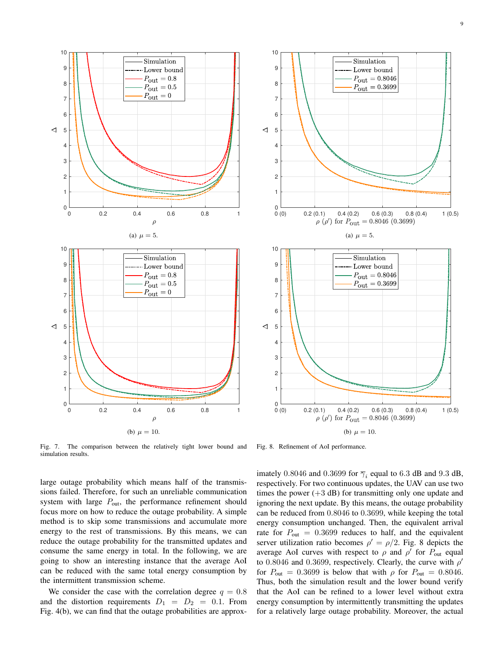

(b)  $\mu = 10$ .

Fig. 7. The comparison between the relatively tight lower bound and simulation results.

large outage probability which means half of the transmissions failed. Therefore, for such an unreliable communication system with large  $P_{\text{out}}$ , the performance refinement should focus more on how to reduce the outage probability. A simple method is to skip some transmissions and accumulate more energy to the rest of transmissions. By this means, we can reduce the outage probability for the transmitted updates and consume the same energy in total. In the following, we are going to show an interesting instance that the average AoI can be reduced with the same total energy consumption by the intermittent transmission scheme.

We consider the case with the correlation degree  $q = 0.8$ and the distortion requirements  $D_1 = D_2 = 0.1$ . From Fig. 4(b), we can find that the outage probabilities are approx-

Fig. 8. Refinement of AoI performance.

imately 0.8046 and 0.3699 for  $\overline{\gamma}_i$  equal to 6.3 dB and 9.3 dB, respectively. For two continuous updates, the UAV can use two times the power  $(+3$  dB) for transmitting only one update and ignoring the next update. By this means, the outage probability can be reduced from 0.8046 to 0.3699, while keeping the total energy consumption unchanged. Then, the equivalent arrival rate for  $P_{\text{out}} = 0.3699$  reduces to half, and the equivalent server utilization ratio becomes  $\rho' = \rho/2$ . Fig. 8 depicts the average AoI curves with respect to  $\rho$  and  $\rho'$  for  $P_{out}$  equal to 0.8046 and 0.3699, respectively. Clearly, the curve with  $\rho'$ for  $P_{\text{out}} = 0.3699$  is below that with  $\rho$  for  $P_{\text{out}} = 0.8046$ . Thus, both the simulation result and the lower bound verify that the AoI can be refined to a lower level without extra energy consumption by intermittently transmitting the updates for a relatively large outage probability. Moreover, the actual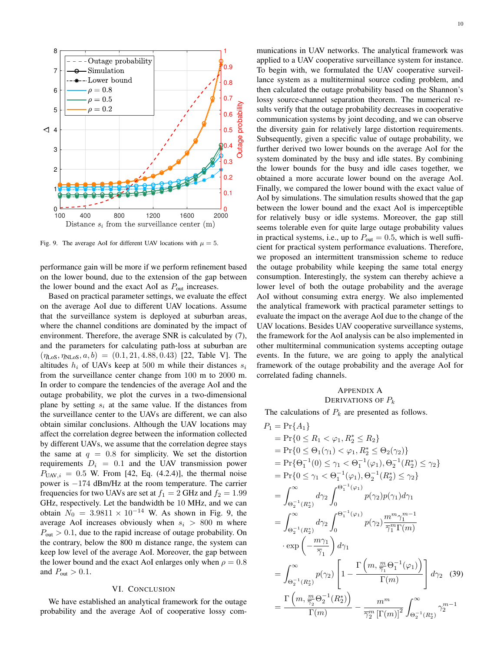

Fig. 9. The average AoI for different UAV locations with  $\mu = 5$ .

performance gain will be more if we perform refinement based on the lower bound, due to the extension of the gap between the lower bound and the exact AoI as  $P_{out}$  increases.

Based on practical parameter settings, we evaluate the effect on the average AoI due to different UAV locations. Assume that the surveillance system is deployed at suburban areas, where the channel conditions are dominated by the impact of environment. Therefore, the average SNR is calculated by (7), and the parameters for calculating path-loss at suburban are  $(\eta_{\text{LoS}}, \eta_{\text{NLoS}}, a, b) = (0.1, 21, 4.88, 0.43)$  [22, Table V]. The altitudes  $h_i$  of UAVs keep at 500 m while their distances  $s_i$ from the surveillance center change from 100 m to 2000 m. In order to compare the tendencies of the average AoI and the outage probability, we plot the curves in a two-dimensional plane by setting  $s_i$  at the same value. If the distances from the surveillance center to the UAVs are different, we can also obtain similar conclusions. Although the UAV locations may affect the correlation degree between the information collected by different UAVs, we assume that the correlation degree stays the same at  $q = 0.8$  for simplicity. We set the distortion requirements  $D_i = 0.1$  and the UAV transmission power  $P_{UAV,i} = 0.5$  W. From [42, Eq. (4.2.4)], the thermal noise power is −174 dBm/Hz at the room temperature. The carrier frequencies for two UAVs are set at  $f_1 = 2$  GHz and  $f_2 = 1.99$ GHz, respectively. Let the bandwidth be 10 MHz, and we can obtain  $N_0 = 3.9811 \times 10^{-14}$  W. As shown in Fig. 9, the average AoI increases obviously when  $s_i > 800$  m where  $P_{\text{out}} > 0.1$ , due to the rapid increase of outage probability. On the contrary, below the 800 m distance range, the system can keep low level of the average AoI. Moreover, the gap between the lower bound and the exact AoI enlarges only when  $\rho = 0.8$ and  $P_{\text{out}} > 0.1$ .

#### VI. CONCLUSION

We have established an analytical framework for the outage probability and the average AoI of cooperative lossy com10

munications in UAV networks. The analytical framework was applied to a UAV cooperative surveillance system for instance. To begin with, we formulated the UAV cooperative surveillance system as a multiterminal source coding problem, and then calculated the outage probability based on the Shannon's lossy source-channel separation theorem. The numerical results verify that the outage probability decreases in cooperative communication systems by joint decoding, and we can observe the diversity gain for relatively large distortion requirements. Subsequently, given a specific value of outage probability, we further derived two lower bounds on the average AoI for the system dominated by the busy and idle states. By combining the lower bounds for the busy and idle cases together, we obtained a more accurate lower bound on the average AoI. Finally, we compared the lower bound with the exact value of AoI by simulations. The simulation results showed that the gap between the lower bound and the exact AoI is imperceptible for relatively busy or idle systems. Moreover, the gap still seems tolerable even for quite large outage probability values in practical systems, i.e., up to  $P_{\text{out}} = 0.5$ , which is well sufficient for practical system performance evaluations. Therefore, we proposed an intermittent transmission scheme to reduce the outage probability while keeping the same total energy consumption. Interestingly, the system can thereby achieve a lower level of both the outage probability and the average AoI without consuming extra energy. We also implemented the analytical framework with practical parameter settings to evaluate the impact on the average AoI due to the change of the UAV locations. Besides UAV cooperative surveillance systems, the framework for the AoI analysis can be also implemented in other multiterminal communication systems accepting outage events. In the future, we are going to apply the analytical framework of the outage probability and the average AoI for correlated fading channels.

#### APPENDIX A DERIVATIONS OF  $P_k$

The calculations of  $P_k$  are presented as follows.

$$
P_1 = \Pr\{0 \le R_1 < \varphi_1, R_2^* \le R_2\} \\
= \Pr\{0 \le \Theta_1(\gamma_1) < \varphi_1, R_2^* \le \Theta_2(\gamma_2)\} \\
= \Pr\{\Theta_1^{-1}(0) \le \gamma_1 < \Theta_1^{-1}(\varphi_1), \Theta_2^{-1}(R_2^*) \le \gamma_2\} \\
= \Pr\{0 \le \gamma_1 < \Theta_1^{-1}(\varphi_1), \Theta_2^{-1}(R_2^*) \le \gamma_2\} \\
= \int_{\Theta_2^{-1}}^{\infty} d\gamma_2 \int_0^{\Theta_1^{-1}(\varphi_1)} p(\gamma_2) p(\gamma_1) d\gamma_1 \\
= \int_{\Theta_2^{-1}(R_2^*)}^{\infty} d\gamma_2 \int_0^{\Theta_1^{-1}(\varphi_1)} p(\gamma_2) \frac{m^m \gamma_1^{m-1}}{\overline{\gamma}_1^m \Gamma(m)} \\
\cdot \exp\left(-\frac{m\gamma_1}{\overline{\gamma}_1}\right) d\gamma_1 \\
= \int_{\Theta_2^{-1}(R_2^*)}^{\infty} p(\gamma_2) \left[1 - \frac{\Gamma\left(m, \frac{m}{\overline{\gamma}_1} \Theta_1^{-1}(\varphi_1)\right)}{\Gamma(m)}\right] d\gamma_2 \quad (39) \\
= \frac{\Gamma\left(m, \frac{m}{\overline{\gamma}_2} \Theta_2^{-1}(R_2^*)\right)}{\Gamma(m)} - \frac{m^m}{\overline{\gamma}_1^m \Gamma(m) \Gamma(m) \sum_{\Theta_2^{-1}(R_2^*)}^{\infty} \gamma_2^{m-1}}
$$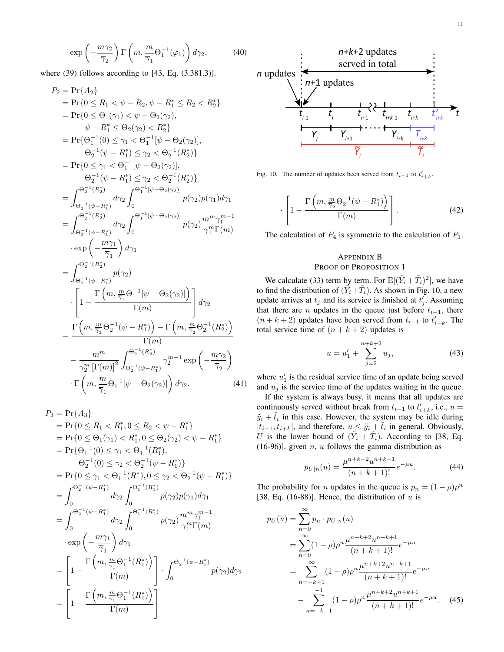$$
\cdot \exp\left(-\frac{m\gamma_2}{\overline{\gamma}_2}\right) \Gamma\left(m, \frac{m}{\overline{\gamma}_1} \Theta_1^{-1}(\varphi_1)\right) d\gamma_2, \tag{40}
$$

where  $(39)$  follows according to  $[43, Eq. (3.381.3)].$ 

$$
P_2 = \Pr\{A_2\} \\
= \Pr\{0 \le R_1 < \psi - R_2, \psi - R_1^* \le R_2 < R_2^*\} \\
= \Pr\{0 \le \Theta_1(\gamma_1) < \psi - \Theta_2(\gamma_2), \\
\psi - R_1^* \le \Theta_2(\gamma_2) < R_2^*\} \\
= \Pr\{\Theta_1^{-1}(0) \le \gamma_1 < \Theta_1^{-1}[\psi - \Theta_2(\gamma_2)], \\
\Theta_2^{-1}(\psi - R_1^*) < \gamma_2 < \Theta_2^{-1}(R_2^*)\} \\
= \Pr\{0 \le \gamma_1 < \Theta_1^{-1}[\psi - \Theta_2(\gamma_2)], \\
\Theta_2^{-1}(\psi - R_1^*) < \gamma_2 < \Theta_2^{-1}(R_2^*)\} \\
= \int_{\Theta_2^{-1}(\mathcal{R}_2^*)}^{\Theta_2^{-1}(\mathcal{R}_2^*)} d\gamma_2 \int_{0}^{\Theta_1^{-1}[\psi - \Theta_2(\gamma_2)]} p(\gamma_2) p(\gamma_1) d\gamma_1 \\
= \int_{\Theta_2^{-1}(\mathcal{R}_2^*)}^{\Theta_2^{-1}(\mathcal{R}_2^*)} d\gamma_2 \int_{0}^{\Theta_1^{-1}[\psi - \Theta_2(\gamma_2)]} p(\gamma_2) \frac{m^m \gamma_1^{m-1}}{\overline{\gamma}_1^m \Gamma(m)} \\
\cdot \exp\left(-\frac{m\gamma_1}{\overline{\gamma}_1}\right) d\gamma_1 \\
= \int_{\Theta_2^{-1}(\mathcal{R}_2^*)}^{\Theta_2^{-1}(\mathcal{R}_2^*)} p(\gamma_2) \\
\cdot \left[1 - \frac{\Gamma\left(m, \frac{m}{\overline{\gamma}_1} \Theta_1^{-1}[\psi - \Theta_2(\gamma_2)]\right)}{\Gamma(m)}\right] d\gamma_2 \\
= \frac{\Gamma\left(m, \frac{m}{\overline{\gamma}_2} \Theta_2^{-1}(\psi - R_1^*)\right) - \Gamma\left(m, \frac{m}{\overline{\gamma}_2} \Theta_2^{-1}(R_2^*)\right)}{\Gamma(m)} \\
-\frac{m^m}{\overline{\gamma}_2^m \left[\Gamma(m)\right]^2} \int_{\Theta_2^{-1}(\psi - R_1^*)}^{\Theta_2^{-1}(\mathcal{R}_2^*)} \gamma_2^{
$$

$$
P_3 = \Pr\{A_3\}
$$
  
\n
$$
= \Pr\{0 \le R_1 < R_1^*, 0 \le R_2 < \psi - R_1^*\}
$$
  
\n
$$
= \Pr\{0 \le \Theta_1(\gamma_1) < R_1^*, 0 \le \Theta_2(\gamma_2) < \psi - R_1^*\}
$$
  
\n
$$
= \Pr\{\Theta_1^{-1}(0) \le \gamma_1 < \Theta_1^{-1}(R_1^*),
$$
  
\n
$$
\Theta_2^{-1}(0) \le \gamma_2 < \Theta_2^{-1}(\psi - R_1^*)\}
$$
  
\n
$$
= \Pr\{0 \le \gamma_1 < \Theta_1^{-1}(R_1^*), 0 \le \gamma_2 < \Theta_2^{-1}(\psi - R_1^*)\}
$$
  
\n
$$
= \int_0^{\Theta_2^{-1}(\psi - R_1^*)} d\gamma_2 \int_0^{\Theta_1^{-1}(R_1^*)} p(\gamma_2) p(\gamma_1) d\gamma_1
$$
  
\n
$$
= \int_0^{\Theta_2^{-1}(\psi - R_1^*)} d\gamma_2 \int_0^{\Theta_1^{-1}(R_1^*)} p(\gamma_2) \frac{m^m \gamma_1^{m-1}}{\overline{\gamma}_1^m \Gamma(m)}
$$
  
\n
$$
\cdot \exp\left(-\frac{m\gamma_1}{\overline{\gamma}_1}\right) d\gamma_1
$$
  
\n
$$
= \left[1 - \frac{\Gamma\left(m, \frac{m}{\overline{\gamma}_1} \Theta_1^{-1}(R_1^*)\right)}{\Gamma(m)}\right] \cdot \int_0^{\Theta_2^{-1}(\psi - R_1^*)} p(\gamma_2) d\gamma_2
$$
  
\n
$$
= \left[1 - \frac{\Gamma\left(m, \frac{m}{\overline{\gamma}_1} \Theta_1^{-1}(R_1^*)\right)}{\Gamma(m)}\right]
$$



Fig. 10. The number of updates been served from  $t_{i-1}$  to  $t'_{i+k}$ .

$$
\cdot \left[1 - \frac{\Gamma\left(m, \frac{m}{\overline{\gamma}_2} \Theta_2^{-1}(\psi - R_1^*)\right)}{\Gamma(m)}\right].
$$
 (42)

The calculation of  $P_4$  is symmetric to the calculation of  $P_1$ .

#### APPENDIX B PROOF OF PROPOSITION 1

We calculate (33) term by term. For  $E[(\tilde{Y}_i + \tilde{T}_i)^2]$ , we have to find the distribution of  $(\tilde{Y}_i + \tilde{T}_i)$ . As shown in Fig. 10, a new update arrives at  $t_j$  and its service is finished at  $t'_j$ . Assuming that there are *n* updates in the queue just before  $t_{i-1}$ , there  $(n + k + 2)$  updates have been served from  $t_{i-1}$  to  $t'_{i+k}$ . The total service time of  $(n + k + 2)$  updates is

$$
u = u_1' + \sum_{j=2}^{n+k+2} u_j,
$$
 (43)

where  $u'_1$  is the residual service time of an update being served and  $u_j$  is the service time of the updates waiting in the queue.

If the system is always busy, it means that all updates are continuously served without break from  $t_{i-1}$  to  $t'_{i+k}$ , i.e.,  $u =$  $\tilde{y}_i + \tilde{t}_i$  in this case. However, the system may be idle during  $[t_{i-1}, t_{i+k}]$ , and therefore,  $u \leq \tilde{y}_i + \tilde{t}_i$  in general. Obviously, U is the lower bound of  $(\tilde{Y}_i + \tilde{T}_i)$ . According to [38, Eq.  $(16-96)$ ], given *n*, *u* follows the gamma distribution as

$$
p_{U|n}(u) = \frac{\mu^{n+k+2} u^{n+k+1}}{(n+k+1)!} e^{-\mu u}.
$$
 (44)

The probability for *n* updates in the queue is  $p_n = (1 - \rho)\rho^n$ [38, Eq. (16-88)]. Hence, the distribution of  $u$  is

$$
p_U(u) = \sum_{n=0}^{\infty} p_n \cdot p_{U|n}(u)
$$
  
= 
$$
\sum_{n=0}^{\infty} (1 - \rho)\rho^n \frac{\mu^{n+k+2} u^{n+k+1}}{(n+k+1)!} e^{-\mu u}
$$
  
= 
$$
\sum_{n=-k-1}^{\infty} (1 - \rho)\rho^n \frac{\mu^{n+k+2} u^{n+k+1}}{(n+k+1)!} e^{-\mu u}
$$
  
- 
$$
\sum_{n=-k-1}^{-1} (1 - \rho)\rho^n \frac{\mu^{n+k+2} u^{n+k+1}}{(n+k+1)!} e^{-\mu u}.
$$
 (45)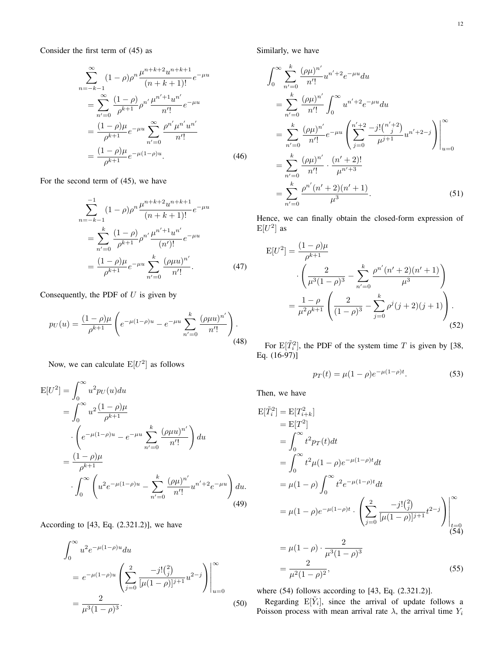Consider the first term of (45) as

$$
\sum_{n=-k-1}^{\infty} (1-\rho)\rho^n \frac{\mu^{n+k+2} u^{n+k+1}}{(n+k+1)!} e^{-\mu u}
$$
  
= 
$$
\sum_{n'=0}^{\infty} \frac{(1-\rho)}{\rho^{k+1}} \rho^{n'} \frac{\mu^{n'+1} u^{n'}}{n'!} e^{-\mu u}
$$
  
= 
$$
\frac{(1-\rho)\mu}{\rho^{k+1}} e^{-\mu u} \sum_{n'=0}^{\infty} \frac{\rho^{n'} \mu^{n'} u^{n'}}{n'!}
$$
  
= 
$$
\frac{(1-\rho)\mu}{\rho^{k+1}} e^{-\mu (1-\rho)u}.
$$
 (46)

For the second term of (45), we have

$$
\sum_{n=-k-1}^{-1} (1-\rho)\rho^n \frac{\mu^{n+k+2} u^{n+k+1}}{(n+k+1)!} e^{-\mu u}
$$

$$
= \sum_{n'=0}^k \frac{(1-\rho)}{\rho^{k+1}} \rho^{n'} \frac{\mu^{n'+1} u^{n'}}{(n')!} e^{-\mu u}
$$

$$
= \frac{(1-\rho)\mu}{\rho^{k+1}} e^{-\mu u} \sum_{n'=0}^k \frac{(\rho\mu u)^{n'}}{n'!}.
$$
(47)

Consequently, the PDF of  $U$  is given by

$$
p_U(u) = \frac{(1-\rho)\mu}{\rho^{k+1}} \left( e^{-\mu(1-\rho)u} - e^{-\mu u} \sum_{n'=0}^k \frac{(\rho\mu u)^{n'}}{n'!} \right).
$$
\n(48)

Now, we can calculate  $E[U^2]$  as follows

$$
E[U^2] = \int_0^\infty u^2 p_U(u) du
$$
  
= 
$$
\int_0^\infty u^2 \frac{(1-\rho)\mu}{\rho^{k+1}}
$$
  

$$
\cdot \left( e^{-\mu(1-\rho)u} - e^{-\mu u} \sum_{n'=0}^k \frac{(\rho \mu u)^{n'}}{n'!} \right) du
$$
  
= 
$$
\frac{(1-\rho)\mu}{\rho^{k+1}}
$$
  

$$
\cdot \int_0^\infty \left( u^2 e^{-\mu(1-\rho)u} - \sum_{n'=0}^k \frac{(\rho \mu)^{n'}}{n'!} u^{n'+2} e^{-\mu u} \right) du.
$$
(49)

According to [43, Eq. (2.321.2)], we have

$$
\int_0^\infty u^2 e^{-\mu(1-\rho)u} du
$$
  
=  $e^{-\mu(1-\rho)u} \left( \sum_{j=0}^2 \frac{-j! {2 \choose j}}{[\mu(1-\rho)]^{j+1}} u^{2-j} \right) \Big|_{u=0}^\infty$   
=  $\frac{2}{\mu^3 (1-\rho)^3}.$  (50)

Similarly, we have

$$
\int_0^\infty \sum_{n'=0}^k \frac{(\rho \mu)^{n'}}{n'!} u^{n'+2} e^{-\mu u} du
$$
  
\n
$$
= \sum_{n'=0}^k \frac{(\rho \mu)^{n'}}{n'!} \int_0^\infty u^{n'+2} e^{-\mu u} du
$$
  
\n
$$
= \sum_{n'=0}^k \frac{(\rho \mu)^{n'}}{n'!} e^{-\mu u} \left( \sum_{j=0}^{n'+2} \frac{-j! \binom{n'+2}{j}}{\mu^{j+1}} u^{n'+2-j} \right) \Big|_{u=0}^\infty
$$
  
\n
$$
= \sum_{n'=0}^k \frac{(\rho \mu)^{n'}}{n'!} \cdot \frac{(n'+2)!}{\mu^{n'+3}}
$$
  
\n
$$
= \sum_{n'=0}^k \frac{\rho^{n'} (n'+2)(n'+1)}{\mu^3}.
$$
 (51)

Hence, we can finally obtain the closed-form expression of  $E[U^2]$  as

$$
E[U^2] = \frac{(1-\rho)\mu}{\rho^{k+1}}
$$

$$
\cdot \left(\frac{2}{\mu^3(1-\rho)^3} - \sum_{n'=0}^k \frac{\rho^{n'}(n'+2)(n'+1)}{\mu^3}\right)
$$

$$
= \frac{1-\rho}{\mu^2\rho^{k+1}} \left(\frac{2}{(1-\rho)^3} - \sum_{j=0}^k \rho^j(j+2)(j+1)\right).
$$
(52)

For  $E[\tilde{T}_i^2]$ , the PDF of the system time T is given by [38, Eq. (16-97)]

$$
p_T(t) = \mu(1 - \rho)e^{-\mu(1 - \rho)t}.
$$
 (53)

Then, we have

$$
E[\tilde{T}_i^2] = E[T_{i+k}^2]
$$
  
\n
$$
= E[T^2]
$$
  
\n
$$
= \int_0^\infty t^2 p_T(t) dt
$$
  
\n
$$
= \int_0^\infty t^2 \mu (1 - \rho) e^{-\mu (1 - \rho)t} dt
$$
  
\n
$$
= \mu (1 - \rho) \int_0^\infty t^2 e^{-\mu (1 - \rho)t} dt
$$
  
\n
$$
= \mu (1 - \rho) e^{-\mu (1 - \rho)t} \cdot \left( \sum_{j=0}^2 \frac{-j! {2 \choose j}}{[\mu (1 - \rho)]^{j+1}} t^{2-j} \right) \Big|_{\substack{t=0 \ (54)}
$$
  
\n
$$
= \mu (1 - \rho) \cdot \frac{2}{\mu^3 (1 - \rho)^3}
$$
  
\n
$$
= \frac{2}{\mu^2 (1 - \rho)^2},
$$
 (55)

where (54) follows according to [43, Eq. (2.321.2)].

Regarding  $E[\tilde{Y}_i]$ , since the arrival of update follows a Poisson process with mean arrival rate  $\lambda$ , the arrival time  $Y_i$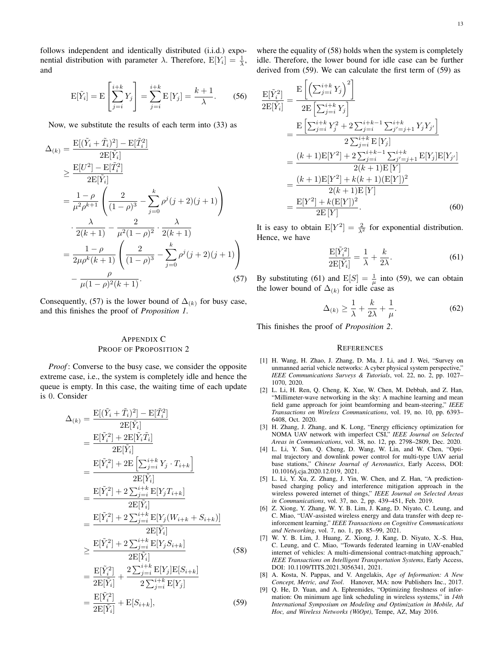follows independent and identically distributed (i.i.d.) exponential distribution with parameter  $\lambda$ . Therefore,  $E[Y_i] = \frac{1}{\lambda}$ , and

$$
E[\tilde{Y}_i] = E\left[\sum_{j=i}^{i+k} Y_j\right] = \sum_{j=i}^{i+k} E[Y_j] = \frac{k+1}{\lambda}.
$$
 (56)

Now, we substitute the results of each term into (33) as

$$
\Delta_{(k)} = \frac{\mathcal{E}[(\tilde{Y}_i + \tilde{T}_i)^2] - \mathcal{E}[\tilde{T}_i^2]}{2\mathcal{E}[\tilde{Y}_i]}
$$
  
\n
$$
\geq \frac{\mathcal{E}[U^2] - \mathcal{E}[\tilde{T}_i^2]}{2\mathcal{E}[\tilde{Y}_i]}
$$
  
\n
$$
= \frac{1 - \rho}{\mu^2 \rho^{k+1}} \left( \frac{2}{(1 - \rho)^3} - \sum_{j=0}^k \rho^j (j + 2)(j + 1) \right)
$$
  
\n
$$
\cdot \frac{\lambda}{2(k+1)} - \frac{2}{\mu^2 (1 - \rho)^2} \cdot \frac{\lambda}{2(k+1)}
$$
  
\n
$$
= \frac{1 - \rho}{2\mu \rho^k (k+1)} \left( \frac{2}{(1 - \rho)^3} - \sum_{j=0}^k \rho^j (j + 2)(j + 1) \right)
$$
  
\n
$$
- \frac{\rho}{\mu (1 - \rho)^2 (k+1)}.
$$
 (57)

Consequently, (57) is the lower bound of  $\Delta_{(k)}$  for busy case, and this finishes the proof of *Proposition 1*.

#### APPENDIX C PROOF OF PROPOSITION 2

*Proof*: Converse to the busy case, we consider the opposite extreme case, i.e., the system is completely idle and hence the queue is empty. In this case, the waiting time of each update is 0. Consider

$$
\Delta_{(k)} = \frac{\mathbf{E}[(\tilde{Y}_i + \tilde{T}_i)^2] - \mathbf{E}[\tilde{T}_i^2]}{2\mathbf{E}[\tilde{Y}_i]}
$$
  
\n
$$
= \frac{\mathbf{E}[\tilde{Y}_i^2] + 2\mathbf{E}[\tilde{Y}_i\tilde{T}_i]}{2\mathbf{E}[\tilde{Y}_i]}
$$
  
\n
$$
= \frac{\mathbf{E}[\tilde{Y}_i^2] + 2\mathbf{E}[\sum_{j=i}^{i+k} Y_j \cdot T_{i+k}]}{2\mathbf{E}[\tilde{Y}_i]}
$$
  
\n
$$
= \frac{\mathbf{E}[\tilde{Y}_i^2] + 2\sum_{j=i}^{i+k} \mathbf{E}[Y_jT_{i+k}]}{2\mathbf{E}[\tilde{Y}_i]}
$$
  
\n
$$
= \frac{\mathbf{E}[\tilde{Y}_i^2] + 2\sum_{j=i}^{i+k} \mathbf{E}[Y_j(W_{i+k} + S_{i+k})]}{2\mathbf{E}[\tilde{Y}_i]}
$$
  
\n
$$
\geq \frac{\mathbf{E}[\tilde{Y}_i^2] + 2\sum_{j=i}^{i+k} \mathbf{E}[Y_jS_{i+k}]}{2\mathbf{E}[\tilde{Y}_i]}
$$
  
\n
$$
= \frac{\mathbf{E}[\tilde{Y}_i^2]}{2\mathbf{E}[\tilde{Y}_i]} + \frac{2\sum_{j=i}^{i+k} \mathbf{E}[Y_j]\mathbf{E}[S_{i+k}]}{2\sum_{j=i}^{i+k} \mathbf{E}[Y_j]}
$$
  
\n(58)

$$
=\frac{\mathrm{E}[\tilde{Y}_i^2]}{2\mathrm{E}[\tilde{Y}_i]} + \mathrm{E}[S_{i+k}],\tag{59}
$$

where the equality of (58) holds when the system is completely idle. Therefore, the lower bound for idle case can be further derived from (59). We can calculate the first term of (59) as

 $\mathbf E$ 

$$
\frac{\mathbf{E}[\tilde{Y}_{i}^{2}]}{\mathbf{2E}[\tilde{Y}_{i}]} = \frac{\mathbf{E}\left[\left(\sum_{j=i}^{i+k} Y_{j}\right)^{2}\right]}{2\mathbf{E}\left[\sum_{j=i}^{i+k} Y_{j}\right]} \n= \frac{\mathbf{E}\left[\sum_{j=i}^{i+k} Y_{j}^{2} + 2\sum_{j=i}^{i+k-1} \sum_{j'=j+1}^{i+k} Y_{j} Y_{j'}\right]}{2\sum_{j=i}^{i+k} \mathbf{E}[Y_{j}]} \n= \frac{(k+1)\mathbf{E}[Y^{2}] + 2\sum_{j=i}^{i+k-1} \sum_{j'=j+1}^{i+k} \mathbf{E}[Y_{j}]\mathbf{E}[Y_{j'}]}{2(k+1)\mathbf{E}[Y]} \n= \frac{(k+1)\mathbf{E}[Y^{2}] + k(k+1)(\mathbf{E}[Y])^{2}}{2(k+1)\mathbf{E}[Y]} \n= \frac{\mathbf{E}[Y^{2}] + k(\mathbf{E}[Y])^{2}}{2\mathbf{E}[Y]}.
$$
\n(60)

It is easy to obtain  $E[Y^2] = \frac{2}{\lambda^2}$  for exponential distribution. Hence, we have

$$
\frac{\mathbf{E}[\tilde{Y}_i^2]}{2\mathbf{E}[\tilde{Y}_i]} = \frac{1}{\lambda} + \frac{k}{2\lambda}.\tag{61}
$$

By substituting (61) and  $E[S] = \frac{1}{\mu}$  into (59), we can obtain the lower bound of  $\Delta_{(k)}$  for idle case as

$$
\Delta_{(k)} \ge \frac{1}{\lambda} + \frac{k}{2\lambda} + \frac{1}{\mu}.\tag{62}
$$

This finishes the proof of *Proposition 2*.

#### **REFERENCES**

- [1] H. Wang, H. Zhao, J. Zhang, D. Ma, J. Li, and J. Wei, "Survey on unmanned aerial vehicle networks: A cyber physical system perspective," *IEEE Communications Surveys & Tutorials*, vol. 22, no. 2, pp. 1027– 1070, 2020.
- [2] L. Li, H. Ren, Q. Cheng, K. Xue, W. Chen, M. Debbah, and Z. Han, "Millimeter-wave networking in the sky: A machine learning and mean field game approach for joint beamforming and beam-steering," *IEEE Transactions on Wireless Communications*, vol. 19, no. 10, pp. 6393– 6408, Oct. 2020.
- [3] H. Zhang, J. Zhang, and K. Long, "Energy efficiency optimization for NOMA UAV network with imperfect CSI," *IEEE Journal on Selected Areas in Communications*, vol. 38, no. 12, pp. 2798–2809, Dec. 2020.
- [4] L. Li, Y. Sun, Q. Cheng, D. Wang, W. Lin, and W. Chen, "Optimal trajectory and downlink power control for multi-type UAV aerial base stations," *Chinese Journal of Aeronautics*, Early Access, DOI: 10.1016/j.cja.2020.12.019, 2021.
- [5] L. Li, Y. Xu, Z. Zhang, J. Yin, W. Chen, and Z. Han, "A predictionbased charging policy and interference mitigation approach in the wireless powered internet of things," *IEEE Journal on Selected Areas in Communications*, vol. 37, no. 2, pp. 439–451, Feb. 2019.
- [6] Z. Xiong, Y. Zhang, W. Y. B. Lim, J. Kang, D. Niyato, C. Leung, and C. Miao, "UAV-assisted wireless energy and data transfer with deep reinforcement learning," *IEEE Transactions on Cognitive Communications and Networking*, vol. 7, no. 1, pp. 85–99, 2021.
- [7] W. Y. B. Lim, J. Huang, Z. Xiong, J. Kang, D. Niyato, X.-S. Hua, C. Leung, and C. Miao, "Towards federated learning in UAV-enabled internet of vehicles: A multi-dimensional contract-matching approach," *IEEE Transactions on Intelligent Transportation Systems*, Early Access, DOI: 10.1109/TITS.2021.3056341, 2021.
- [8] A. Kosta, N. Pappas, and V. Angelakis, *Age of Information: A New Concept, Metric, and Tool*. Hanover, MA: now Publishers Inc., 2017.
- [9] Q. He, D. Yuan, and A. Ephremides, "Optimizing freshness of information: On minimum age link scheduling in wireless systems," in *14th International Symposium on Modeling and Optimization in Mobile, Ad Hoc, and Wireless Networks (WiOpt)*, Tempe, AZ, May 2016.